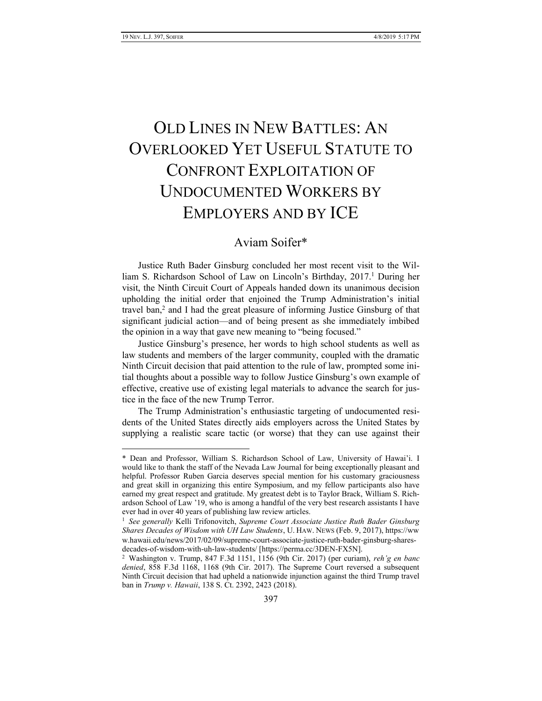# OLD LINES IN NEW BATTLES: AN OVERLOOKED YET USEFUL STATUTE TO CONFRONT EXPLOITATION OF UNDOCUMENTED WORKERS BY EMPLOYERS AND BY ICE

## Aviam Soifer\*

Justice Ruth Bader Ginsburg concluded her most recent visit to the William S. Richardson School of Law on Lincoln's Birthday, 2017.<sup>1</sup> During her visit, the Ninth Circuit Court of Appeals handed down its unanimous decision upholding the initial order that enjoined the Trump Administration's initial travel ban,<sup>2</sup> and I had the great pleasure of informing Justice Ginsburg of that significant judicial action—and of being present as she immediately imbibed the opinion in a way that gave new meaning to "being focused."

Justice Ginsburg's presence, her words to high school students as well as law students and members of the larger community, coupled with the dramatic Ninth Circuit decision that paid attention to the rule of law, prompted some initial thoughts about a possible way to follow Justice Ginsburg's own example of effective, creative use of existing legal materials to advance the search for justice in the face of the new Trump Terror.

The Trump Administration's enthusiastic targeting of undocumented residents of the United States directly aids employers across the United States by supplying a realistic scare tactic (or worse) that they can use against their

<sup>\*</sup> Dean and Professor, William S. Richardson School of Law, University of Hawai'i. I would like to thank the staff of the Nevada Law Journal for being exceptionally pleasant and helpful. Professor Ruben Garcia deserves special mention for his customary graciousness and great skill in organizing this entire Symposium, and my fellow participants also have earned my great respect and gratitude. My greatest debt is to Taylor Brack, William S. Richardson School of Law '19, who is among a handful of the very best research assistants I have ever had in over 40 years of publishing law review articles.

<sup>&</sup>lt;sup>1</sup> See generally Kelli Trifonovitch, Supreme Court Associate Justice Ruth Bader Ginsburg *Shares Decades of Wisdom with UH Law Students*, U. HAW. NEWS (Feb. 9, 2017), https://ww w.hawaii.edu/news/2017/02/09/supreme-court-associate-justice-ruth-bader-ginsburg-sharesdecades-of-wisdom-with-uh-law-students/ [https://perma.cc/3DEN-FX5N].

<sup>2</sup> Washington v. Trump, 847 F.3d 1151, 1156 (9th Cir. 2017) (per curiam), *reh'g en banc denied*, 858 F.3d 1168, 1168 (9th Cir. 2017). The Supreme Court reversed a subsequent Ninth Circuit decision that had upheld a nationwide injunction against the third Trump travel ban in *Trump v. Hawaii*, 138 S. Ct. 2392, 2423 (2018).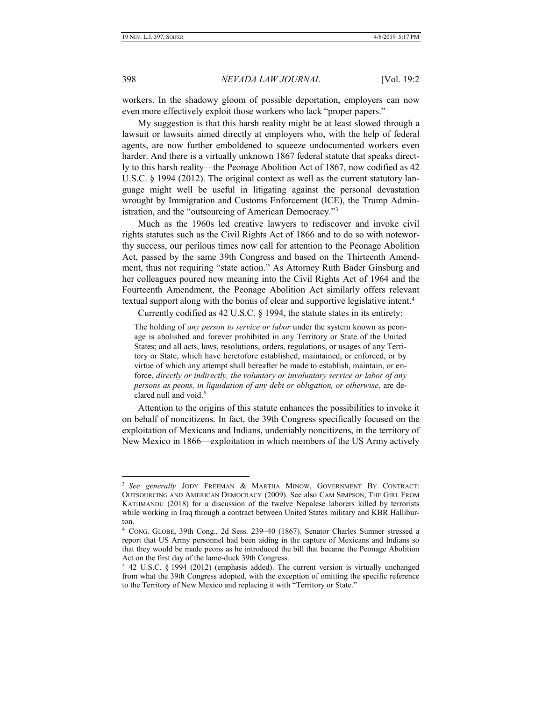workers. In the shadowy gloom of possible deportation, employers can now even more effectively exploit those workers who lack "proper papers."

My suggestion is that this harsh reality might be at least slowed through a lawsuit or lawsuits aimed directly at employers who, with the help of federal agents, are now further emboldened to squeeze undocumented workers even harder. And there is a virtually unknown 1867 federal statute that speaks directly to this harsh reality—the Peonage Abolition Act of 1867, now codified as 42 U.S.C. § 1994 (2012). The original context as well as the current statutory language might well be useful in litigating against the personal devastation wrought by Immigration and Customs Enforcement (ICE), the Trump Administration, and the "outsourcing of American Democracy."<sup>3</sup>

Much as the 1960s led creative lawyers to rediscover and invoke civil rights statutes such as the Civil Rights Act of 1866 and to do so with noteworthy success, our perilous times now call for attention to the Peonage Abolition Act, passed by the same 39th Congress and based on the Thirteenth Amendment, thus not requiring "state action." As Attorney Ruth Bader Ginsburg and her colleagues poured new meaning into the Civil Rights Act of 1964 and the Fourteenth Amendment, the Peonage Abolition Act similarly offers relevant textual support along with the bonus of clear and supportive legislative intent.<sup>4</sup>

Currently codified as 42 U.S.C. § 1994, the statute states in its entirety:

The holding of *any person to service or labor* under the system known as peonage is abolished and forever prohibited in any Territory or State of the United States; and all acts, laws, resolutions, orders, regulations, or usages of any Territory or State, which have heretofore established, maintained, or enforced, or by virtue of which any attempt shall hereafter be made to establish, maintain, or enforce, *directly or indirectly, the voluntary or involuntary service or labor of any persons as peons, in liquidation of any debt or obligation, or otherwise*, are declared null and void.<sup>5</sup>

Attention to the origins of this statute enhances the possibilities to invoke it on behalf of noncitizens. In fact, the 39th Congress specifically focused on the exploitation of Mexicans and Indians, undeniably noncitizens, in the territory of New Mexico in 1866—exploitation in which members of the US Army actively

<sup>&</sup>lt;sup>3</sup> See generally JODY FREEMAN & MARTHA MINOW, GOVERNMENT BY CONTRACT: OUTSOURCING AND AMERICAN DEMOCRACY (2009). See also CAM SIMPSON, THE GIRL FROM KATHMANDU (2018) for a discussion of the twelve Nepalese laborers killed by terrorists while working in Iraq through a contract between United States military and KBR Halliburton.

<sup>4</sup> CONG. GLOBE, 39th Cong., 2d Sess. 239–40 (1867). Senator Charles Sumner stressed a report that US Army personnel had been aiding in the capture of Mexicans and Indians so that they would be made peons as he introduced the bill that became the Peonage Abolition Act on the first day of the lame-duck 39th Congress.

<sup>5</sup> 42 U.S.C. § 1994 (2012) (emphasis added). The current version is virtually unchanged from what the 39th Congress adopted, with the exception of omitting the specific reference to the Territory of New Mexico and replacing it with "Territory or State."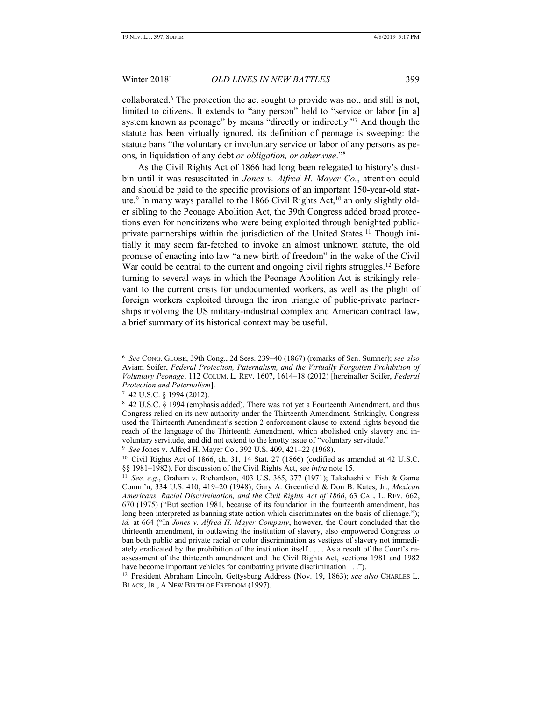<span id="page-2-0"></span>collaborated.<sup>6</sup> The protection the act sought to provide was not, and still is not, limited to citizens. It extends to "any person" held to "service or labor [in a] system known as peonage" by means "directly or indirectly."<sup>7</sup> And though the statute has been virtually ignored, its definition of peonage is sweeping: the statute bans "the voluntary or involuntary service or labor of any persons as peons, in liquidation of any debt *or obligation, or otherwise*."<sup>8</sup>

As the Civil Rights Act of 1866 had long been relegated to history's dustbin until it was resuscitated in *Jones v. Alfred H. Mayer Co.*, attention could and should be paid to the specific provisions of an important 150-year-old statute.<sup>9</sup> In many ways parallel to the 1866 Civil Rights Act,<sup>10</sup> an only slightly older sibling to the Peonage Abolition Act, the 39th Congress added broad protections even for noncitizens who were being exploited through benighted publicprivate partnerships within the jurisdiction of the United States.<sup>11</sup> Though initially it may seem far-fetched to invoke an almost unknown statute, the old promise of enacting into law "a new birth of freedom" in the wake of the Civil War could be central to the current and ongoing civil rights struggles.<sup>12</sup> Before turning to several ways in which the Peonage Abolition Act is strikingly relevant to the current crisis for undocumented workers, as well as the plight of foreign workers exploited through the iron triangle of public-private partnerships involving the US military-industrial complex and American contract law, a brief summary of its historical context may be useful.

7 42 U.S.C. § 1994 (2012).

<sup>6</sup> *See* CONG. GLOBE, 39th Cong., 2d Sess. 239–40 (1867) (remarks of Sen. Sumner); *see also*  Aviam Soifer, *Federal Protection, Paternalism, and the Virtually Forgotten Prohibition of Voluntary Peonage*, 112 COLUM. L. REV. 1607, 1614–18 (2012) [hereinafter Soifer, *Federal Protection and Paternalism*].

<sup>&</sup>lt;sup>8</sup> 42 U.S.C. § 1994 (emphasis added). There was not yet a Fourteenth Amendment, and thus Congress relied on its new authority under the Thirteenth Amendment. Strikingly, Congress used the Thirteenth Amendment's section 2 enforcement clause to extend rights beyond the reach of the language of the Thirteenth Amendment, which abolished only slavery and involuntary servitude, and did not extend to the knotty issue of "voluntary servitude."

<sup>9</sup> *See* Jones v. Alfred H. Mayer Co., 392 U.S. 409, 421–22 (1968).

<sup>&</sup>lt;sup>10</sup> Civil Rights Act of 1866, ch. 31, 14 Stat. 27 (1866) (codified as amended at 42 U.S.C. §§ 1981–1982). For discussion of the Civil Rights Act, see *infra* not[e 15.](#page-3-0)

<sup>11</sup> *See, e.g.*, Graham v. Richardson, 403 U.S. 365, 377 (1971); Takahashi v. Fish & Game Comm'n, 334 U.S. 410, 419–20 (1948); Gary A. Greenfield & Don B. Kates, Jr., *Mexican Americans, Racial Discrimination, and the Civil Rights Act of 1866*, 63 CAL. L. REV. 662, 670 (1975) ("But section 1981, because of its foundation in the fourteenth amendment, has long been interpreted as banning state action which discriminates on the basis of alienage."); *id.* at 664 ("In *Jones v. Alfred H. Mayer Company*, however, the Court concluded that the thirteenth amendment, in outlawing the institution of slavery, also empowered Congress to ban both public and private racial or color discrimination as vestiges of slavery not immediately eradicated by the prohibition of the institution itself . . . . As a result of the Court's reassessment of the thirteenth amendment and the Civil Rights Act, sections 1981 and 1982 have become important vehicles for combatting private discrimination . . .").

<sup>12</sup> President Abraham Lincoln, Gettysburg Address (Nov. 19, 1863); *see also* CHARLES L. BLACK, JR., A NEW BIRTH OF FREEDOM (1997).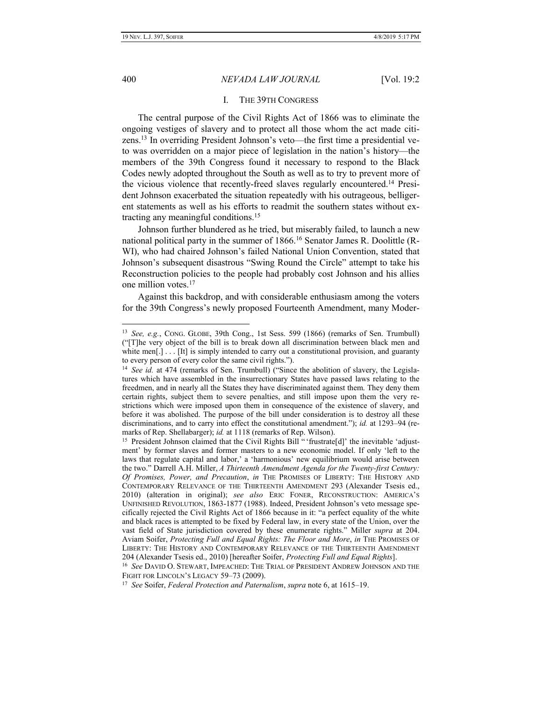#### 400 *NEVADA LAW JOURNAL* [Vol. 19:2

#### <span id="page-3-1"></span><span id="page-3-0"></span>I. THE 39TH CONGRESS

The central purpose of the Civil Rights Act of 1866 was to eliminate the ongoing vestiges of slavery and to protect all those whom the act made citizens.<sup>13</sup> In overriding President Johnson's veto—the first time a presidential veto was overridden on a major piece of legislation in the nation's history—the members of the 39th Congress found it necessary to respond to the Black Codes newly adopted throughout the South as well as to try to prevent more of the vicious violence that recently-freed slaves regularly encountered.<sup>14</sup> President Johnson exacerbated the situation repeatedly with his outrageous, belligerent statements as well as his efforts to readmit the southern states without extracting any meaningful conditions.<sup>15</sup>

Johnson further blundered as he tried, but miserably failed, to launch a new national political party in the summer of 1866.<sup>16</sup> Senator James R. Doolittle (R-WI), who had chaired Johnson's failed National Union Convention, stated that Johnson's subsequent disastrous "Swing Round the Circle" attempt to take his Reconstruction policies to the people had probably cost Johnson and his allies one million votes.<sup>17</sup>

Against this backdrop, and with considerable enthusiasm among the voters for the 39th Congress's newly proposed Fourteenth Amendment, many Moder-

16 *See* DAVID O. STEWART, IMPEACHED: THE TRIAL OF PRESIDENT ANDREW JOHNSON AND THE FIGHT FOR LINCOLN'S LEGACY 59–73 (2009).

17 *See* Soifer, *Federal Protection and Paternalism*, *supra* not[e 6,](#page-2-0) at 1615–19.

<sup>13</sup> *See, e.g.*, CONG. GLOBE, 39th Cong., 1st Sess. 599 (1866) (remarks of Sen. Trumbull) ("[T]he very object of the bill is to break down all discrimination between black men and white men[.] . . . [It] is simply intended to carry out a constitutional provision, and guaranty to every person of every color the same civil rights.").

<sup>&</sup>lt;sup>14</sup> See id. at 474 (remarks of Sen. Trumbull) ("Since the abolition of slavery, the Legislatures which have assembled in the insurrectionary States have passed laws relating to the freedmen, and in nearly all the States they have discriminated against them. They deny them certain rights, subject them to severe penalties, and still impose upon them the very restrictions which were imposed upon them in consequence of the existence of slavery, and before it was abolished. The purpose of the bill under consideration is to destroy all these discriminations, and to carry into effect the constitutional amendment."); *id.* at 1293–94 (remarks of Rep. Shellabarger); *id.* at 1118 (remarks of Rep. Wilson).

<sup>&</sup>lt;sup>15</sup> President Johnson claimed that the Civil Rights Bill "'frustrate[d]' the inevitable 'adjustment' by former slaves and former masters to a new economic model. If only 'left to the laws that regulate capital and labor,' a 'harmonious' new equilibrium would arise between the two." Darrell A.H. Miller, *A Thirteenth Amendment Agenda for the Twenty-first Century: Of Promises, Power, and Precaution*, *in* THE PROMISES OF LIBERTY: THE HISTORY AND CONTEMPORARY RELEVANCE OF THE THIRTEENTH AMENDMENT 293 (Alexander Tsesis ed., 2010) (alteration in original); *see also* ERIC FONER, RECONSTRUCTION: AMERICA'S UNFINISHED REVOLUTION, 1863-1877 (1988). Indeed, President Johnson's veto message specifically rejected the Civil Rights Act of 1866 because in it: "a perfect equality of the white and black races is attempted to be fixed by Federal law, in every state of the Union, over the vast field of State jurisdiction covered by these enumerate rights." Miller *supra* at 204. Aviam Soifer, *Protecting Full and Equal Rights: The Floor and More*, *in* THE PROMISES OF LIBERTY: THE HISTORY AND CONTEMPORARY RELEVANCE OF THE THIRTEENTH AMENDMENT 204 (Alexander Tsesis ed., 2010) [hereafter Soifer, *Protecting Full and Equal Rights*].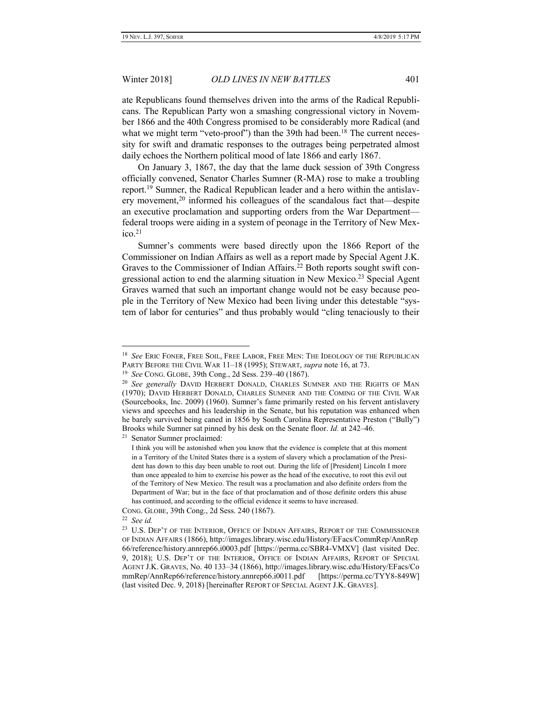ate Republicans found themselves driven into the arms of the Radical Republicans. The Republican Party won a smashing congressional victory in November 1866 and the 40th Congress promised to be considerably more Radical (and what we might term "veto-proof") than the 39th had been.<sup>18</sup> The current necessity for swift and dramatic responses to the outrages being perpetrated almost daily echoes the Northern political mood of late 1866 and early 1867.

On January 3, 1867, the day that the lame duck session of 39th Congress officially convened, Senator Charles Sumner (R-MA) rose to make a troubling report.<sup>19</sup> Sumner, the Radical Republican leader and a hero within the antislavery movement,<sup>20</sup> informed his colleagues of the scandalous fact that—despite an executive proclamation and supporting orders from the War Department federal troops were aiding in a system of peonage in the Territory of New Mex $i$ co.<sup>21</sup>

Sumner's comments were based directly upon the 1866 Report of the Commissioner on Indian Affairs as well as a report made by Special Agent J.K. Graves to the Commissioner of Indian Affairs.<sup>22</sup> Both reports sought swift congressional action to end the alarming situation in New Mexico.<sup>23</sup> Special Agent Graves warned that such an important change would not be easy because people in the Territory of New Mexico had been living under this detestable "system of labor for centuries" and thus probably would "cling tenaciously to their

<sup>21</sup> Senator Sumner proclaimed:

<sup>18</sup> *See* ERIC FONER, FREE SOIL, FREE LABOR, FREE MEN: THE IDEOLOGY OF THE REPUBLICAN PARTY BEFORE THE CIVIL WAR 11–18 (1995); STEWART, *supra* note [16,](#page-3-1) at 73.

<sup>19</sup> *See* CONG. GLOBE, 39th Cong., 2d Sess. 239–40 (1867).

<sup>20</sup> *See generally* DAVID HERBERT DONALD, CHARLES SUMNER AND THE RIGHTS OF MAN (1970); DAVID HERBERT DONALD, CHARLES SUMNER AND THE COMING OF THE CIVIL WAR (Sourcebooks, Inc. 2009) (1960). Sumner's fame primarily rested on his fervent antislavery views and speeches and his leadership in the Senate, but his reputation was enhanced when he barely survived being caned in 1856 by South Carolina Representative Preston ("Bully") Brooks while Sumner sat pinned by his desk on the Senate floor. *Id.* at 242–46.

I think you will be astonished when you know that the evidence is complete that at this moment in a Territory of the United States there is a system of slavery which a proclamation of the President has down to this day been unable to root out. During the life of [President] Lincoln I more than once appealed to him to exercise his power as the head of the executive, to root this evil out of the Territory of New Mexico. The result was a proclamation and also definite orders from the Department of War; but in the face of that proclamation and of those definite orders this abuse has continued, and according to the official evidence it seems to have increased.

CONG. GLOBE, 39th Cong., 2d Sess. 240 (1867).

<sup>22</sup> *See id.*

<sup>&</sup>lt;sup>23</sup> U.S. DEP'T OF THE INTERIOR, OFFICE OF INDIAN AFFAIRS, REPORT OF THE COMMISSIONER OF INDIAN AFFAIRS (1866), http://images.library.wisc.edu/History/EFacs/CommRep/AnnRep 66/reference/history.annrep66.i0003.pdf [https://perma.cc/SBR4-VMXV] (last visited Dec. 9, 2018); U.S. DEP'T OF THE INTERIOR, OFFICE OF INDIAN AFFAIRS, REPORT OF SPECIAL AGENT J.K. GRAVES, No. 40 133–34 (1866), http://images.library.wisc.edu/History/EFacs/Co mmRep/AnnRep66/reference/history.annrep66.i0011.pdf [https://perma.cc/TYY8-849W] (last visited Dec. 9, 2018) [hereinafter REPORT OF SPECIAL AGENT J.K. GRAVES].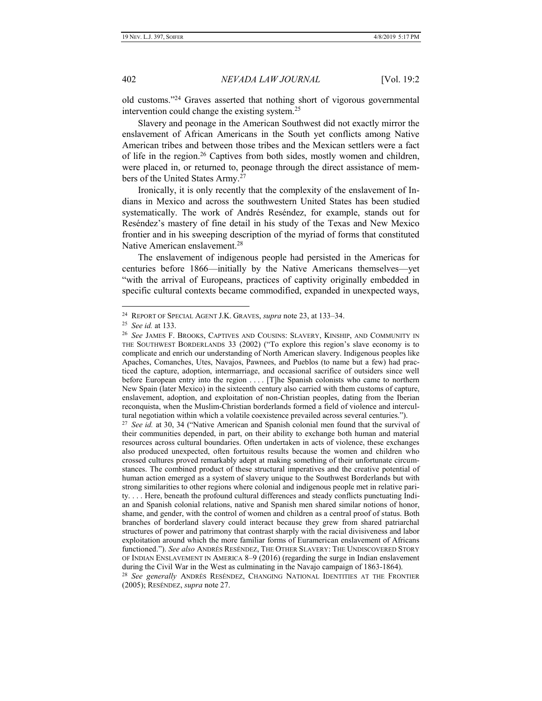old customs."<sup>24</sup> Graves asserted that nothing short of vigorous governmental intervention could change the existing system.<sup>25</sup>

Slavery and peonage in the American Southwest did not exactly mirror the enslavement of African Americans in the South yet conflicts among Native American tribes and between those tribes and the Mexican settlers were a fact of life in the region.<sup>26</sup> Captives from both sides, mostly women and children, were placed in, or returned to, peonage through the direct assistance of members of the United States Army.<sup>27</sup>

<span id="page-5-0"></span>Ironically, it is only recently that the complexity of the enslavement of Indians in Mexico and across the southwestern United States has been studied systematically. The work of Andrés Reséndez, for example, stands out for Reséndez's mastery of fine detail in his study of the Texas and New Mexico frontier and in his sweeping description of the myriad of forms that constituted Native American enslavement.<sup>28</sup>

The enslavement of indigenous people had persisted in the Americas for centuries before 1866—initially by the Native Americans themselves—yet "with the arrival of Europeans, practices of captivity originally embedded in specific cultural contexts became commodified, expanded in unexpected ways,

<sup>24</sup> REPORT OF SPECIAL AGENT J.K. GRAVES, *supra* note 23, at 133–34.

<sup>25</sup> *See id.* at 133.

<sup>26</sup> *See* JAMES F. BROOKS, CAPTIVES AND COUSINS: SLAVERY, KINSHIP, AND COMMUNITY IN THE SOUTHWEST BORDERLANDS 33 (2002) ("To explore this region's slave economy is to complicate and enrich our understanding of North American slavery. Indigenous peoples like Apaches, Comanches, Utes, Navajos, Pawnees, and Pueblos (to name but a few) had practiced the capture, adoption, intermarriage, and occasional sacrifice of outsiders since well before European entry into the region . . . . [T]he Spanish colonists who came to northern New Spain (later Mexico) in the sixteenth century also carried with them customs of capture, enslavement, adoption, and exploitation of non-Christian peoples, dating from the Iberian reconquista, when the Muslim-Christian borderlands formed a field of violence and intercultural negotiation within which a volatile coexistence prevailed across several centuries.").

<sup>27</sup> *See id.* at 30, 34 ("Native American and Spanish colonial men found that the survival of their communities depended, in part, on their ability to exchange both human and material resources across cultural boundaries. Often undertaken in acts of violence, these exchanges also produced unexpected, often fortuitous results because the women and children who crossed cultures proved remarkably adept at making something of their unfortunate circumstances. The combined product of these structural imperatives and the creative potential of human action emerged as a system of slavery unique to the Southwest Borderlands but with strong similarities to other regions where colonial and indigenous people met in relative parity. . . . Here, beneath the profound cultural differences and steady conflicts punctuating Indian and Spanish colonial relations, native and Spanish men shared similar notions of honor, shame, and gender, with the control of women and children as a central proof of status. Both branches of borderland slavery could interact because they grew from shared patriarchal structures of power and patrimony that contrast sharply with the racial divisiveness and labor exploitation around which the more familiar forms of Euramerican enslavement of Africans functioned."). *See also* ANDRÉS RESÉNDEZ, THE OTHER SLAVERY: THE UNDISCOVERED STORY OF INDIAN ENSLAVEMENT IN AMERICA 8–9 (2016) (regarding the surge in Indian enslavement during the Civil War in the West as culminating in the Navajo campaign of 1863-1864).

<sup>28</sup> *See generally* ANDRÉS RESÉNDEZ, CHANGING NATIONAL IDENTITIES AT THE FRONTIER (2005); RESÉNDEZ, *supra* note [27.](#page-5-0)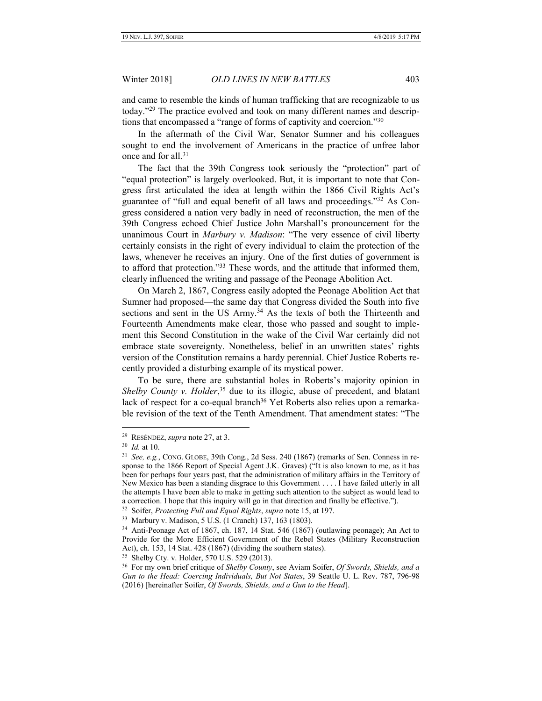and came to resemble the kinds of human trafficking that are recognizable to us today."<sup>29</sup> The practice evolved and took on many different names and descriptions that encompassed a "range of forms of captivity and coercion."<sup>30</sup>

In the aftermath of the Civil War, Senator Sumner and his colleagues sought to end the involvement of Americans in the practice of unfree labor once and for all.<sup>31</sup>

The fact that the 39th Congress took seriously the "protection" part of "equal protection" is largely overlooked. But, it is important to note that Congress first articulated the idea at length within the 1866 Civil Rights Act's guarantee of "full and equal benefit of all laws and proceedings."<sup>32</sup> As Congress considered a nation very badly in need of reconstruction, the men of the 39th Congress echoed Chief Justice John Marshall's pronouncement for the unanimous Court in *Marbury v. Madison*: "The very essence of civil liberty certainly consists in the right of every individual to claim the protection of the laws, whenever he receives an injury. One of the first duties of government is to afford that protection."33 These words, and the attitude that informed them, clearly influenced the writing and passage of the Peonage Abolition Act.

On March 2, 1867, Congress easily adopted the Peonage Abolition Act that Sumner had proposed—the same day that Congress divided the South into five sections and sent in the US Army.<sup>34</sup> As the texts of both the Thirteenth and Fourteenth Amendments make clear, those who passed and sought to implement this Second Constitution in the wake of the Civil War certainly did not embrace state sovereignty. Nonetheless, belief in an unwritten states' rights version of the Constitution remains a hardy perennial. Chief Justice Roberts recently provided a disturbing example of its mystical power.

To be sure, there are substantial holes in Roberts's majority opinion in *Shelby County v. Holder*, <sup>35</sup> due to its illogic, abuse of precedent, and blatant lack of respect for a co-equal branch<sup>36</sup> Yet Roberts also relies upon a remarkable revision of the text of the Tenth Amendment. That amendment states: "The

 $\overline{a}$ 

35 Shelby Cty. v. Holder, 570 U.S. 529 (2013).

<sup>29</sup> RESÉNDEZ, *supra* not[e 27,](#page-5-0) at 3.

<sup>30</sup>  *Id.* at 10.

<sup>31</sup> *See, e.g.*, CONG. GLOBE, 39th Cong., 2d Sess. 240 (1867) (remarks of Sen. Conness in response to the 1866 Report of Special Agent J.K. Graves) ("It is also known to me, as it has been for perhaps four years past, that the administration of military affairs in the Territory of New Mexico has been a standing disgrace to this Government . . . . I have failed utterly in all the attempts I have been able to make in getting such attention to the subject as would lead to a correction. I hope that this inquiry will go in that direction and finally be effective.").

<sup>32</sup> Soifer, *Protecting Full and Equal Rights*, *supra* note 15, at 197.

<sup>33</sup> Marbury v. Madison, 5 U.S. (1 Cranch) 137, 163 (1803).

<sup>34</sup> Anti-Peonage Act of 1867, ch. 187, 14 Stat. 546 (1867) (outlawing peonage); An Act to Provide for the More Efficient Government of the Rebel States (Military Reconstruction Act), ch. 153, 14 Stat. 428 (1867) (dividing the southern states).

<sup>36</sup> For my own brief critique of *Shelby County*, see Aviam Soifer, *Of Swords, Shields, and a Gun to the Head: Coercing Individuals, But Not States*, 39 Seattle U. L. Rev. 787, 796-98 (2016) [hereinafter Soifer, *Of Swords, Shields, and a Gun to the Head*].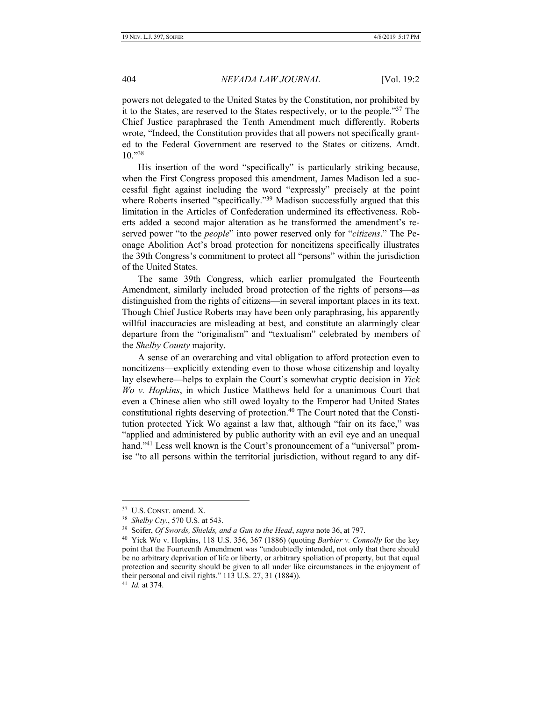powers not delegated to the United States by the Constitution, nor prohibited by it to the States, are reserved to the States respectively, or to the people."<sup>37</sup> The Chief Justice paraphrased the Tenth Amendment much differently. Roberts wrote, "Indeed, the Constitution provides that all powers not specifically granted to the Federal Government are reserved to the States or citizens. Amdt. 10." 38

His insertion of the word "specifically" is particularly striking because, when the First Congress proposed this amendment, James Madison led a successful fight against including the word "expressly" precisely at the point where Roberts inserted "specifically."<sup>39</sup> Madison successfully argued that this limitation in the Articles of Confederation undermined its effectiveness. Roberts added a second major alteration as he transformed the amendment's reserved power "to the *people*" into power reserved only for "*citizens*." The Peonage Abolition Act's broad protection for noncitizens specifically illustrates the 39th Congress's commitment to protect all "persons" within the jurisdiction of the United States.

The same 39th Congress, which earlier promulgated the Fourteenth Amendment, similarly included broad protection of the rights of persons—as distinguished from the rights of citizens—in several important places in its text. Though Chief Justice Roberts may have been only paraphrasing, his apparently willful inaccuracies are misleading at best, and constitute an alarmingly clear departure from the "originalism" and "textualism" celebrated by members of the *Shelby County* majority.

A sense of an overarching and vital obligation to afford protection even to noncitizens—explicitly extending even to those whose citizenship and loyalty lay elsewhere—helps to explain the Court's somewhat cryptic decision in *Yick Wo v. Hopkins*, in which Justice Matthews held for a unanimous Court that even a Chinese alien who still owed loyalty to the Emperor had United States constitutional rights deserving of protection.<sup>40</sup> The Court noted that the Constitution protected Yick Wo against a law that, although "fair on its face," was "applied and administered by public authority with an evil eye and an unequal hand."<sup>41</sup> Less well known is the Court's pronouncement of a "universal" promise "to all persons within the territorial jurisdiction, without regard to any dif-

41  *Id.* at 374.

<sup>37</sup> U.S. CONST. amend. X.

<sup>38</sup> *Shelby Cty.*, 570 U.S. at 543.

<sup>39</sup> Soifer, *Of Swords, Shields, and a Gun to the Head*, *supra* note 36, at 797.

<sup>40</sup> Yick Wo v. Hopkins, 118 U.S. 356, 367 (1886) (quoting *Barbier v. Connolly* for the key point that the Fourteenth Amendment was "undoubtedly intended, not only that there should be no arbitrary deprivation of life or liberty, or arbitrary spoliation of property, but that equal protection and security should be given to all under like circumstances in the enjoyment of their personal and civil rights." 113 U.S. 27, 31 (1884)).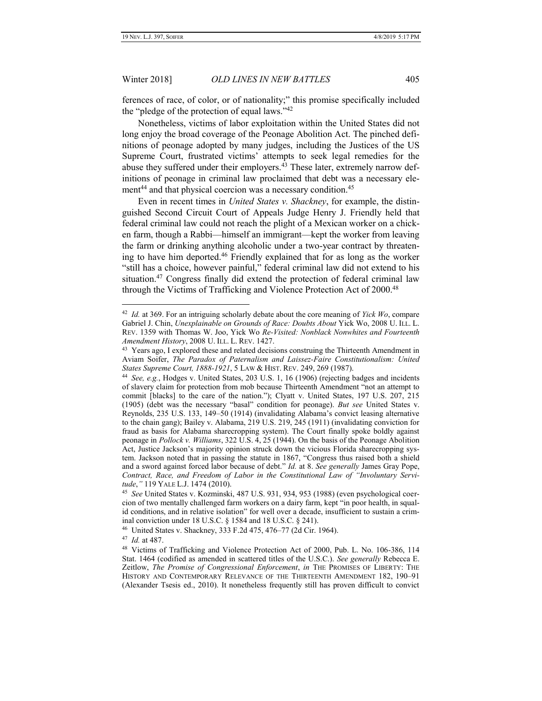ferences of race, of color, or of nationality;" this promise specifically included the "pledge of the protection of equal laws."<sup>42</sup>

Nonetheless, victims of labor exploitation within the United States did not long enjoy the broad coverage of the Peonage Abolition Act. The pinched definitions of peonage adopted by many judges, including the Justices of the US Supreme Court, frustrated victims' attempts to seek legal remedies for the abuse they suffered under their employers.<sup>43</sup> These later, extremely narrow definitions of peonage in criminal law proclaimed that debt was a necessary element<sup>44</sup> and that physical coercion was a necessary condition.<sup>45</sup>

Even in recent times in *United States v. Shackney*, for example, the distinguished Second Circuit Court of Appeals Judge Henry J. Friendly held that federal criminal law could not reach the plight of a Mexican worker on a chicken farm, though a Rabbi—himself an immigrant—kept the worker from leaving the farm or drinking anything alcoholic under a two-year contract by threatening to have him deported.<sup>46</sup> Friendly explained that for as long as the worker "still has a choice, however painful," federal criminal law did not extend to his situation.<sup>47</sup> Congress finally did extend the protection of federal criminal law through the Victims of Trafficking and Violence Protection Act of 2000.<sup>48</sup>

47 *Id.* at 487.

<sup>42</sup> *Id.* at 369. For an intriguing scholarly debate about the core meaning of *Yick Wo*, compare Gabriel J. Chin, *Unexplainable on Grounds of Race: Doubts About* Yick Wo, 2008 U. ILL. L. REV. 1359 with Thomas W. Joo, Yick Wo *Re-Visited: Nonblack Nonwhites and Fourteenth Amendment History*, 2008 U. ILL. L. REV. 1427.

<sup>&</sup>lt;sup>43</sup> Years ago, I explored these and related decisions construing the Thirteenth Amendment in Aviam Soifer, *The Paradox of Paternalism and Laissez-Faire Constitutionalism: United States Supreme Court, 1888-1921*, 5 LAW & HIST. REV. 249, 269 (1987).

<sup>44</sup> *See, e.g.*, Hodges v. United States, 203 U.S. 1, 16 (1906) (rejecting badges and incidents of slavery claim for protection from mob because Thirteenth Amendment "not an attempt to commit [blacks] to the care of the nation."); Clyatt v. United States, 197 U.S. 207, 215 (1905) (debt was the necessary "basal" condition for peonage). *But see* United States v. Reynolds, 235 U.S. 133, 149–50 (1914) (invalidating Alabama's convict leasing alternative to the chain gang); Bailey v. Alabama, 219 U.S. 219, 245 (1911) (invalidating conviction for fraud as basis for Alabama sharecropping system). The Court finally spoke boldly against peonage in *Pollock v. Williams*, 322 U.S. 4, 25 (1944). On the basis of the Peonage Abolition Act, Justice Jackson's majority opinion struck down the vicious Florida sharecropping system. Jackson noted that in passing the statute in 1867, "Congress thus raised both a shield and a sword against forced labor because of debt." *Id.* at 8. *See generally* James Gray Pope, *Contract, Race, and Freedom of Labor in the Constitutional Law of "Involuntary Servitude*,*"* 119 YALE L.J. 1474 (2010).

<sup>45</sup> *See* United States v. Kozminski, 487 U.S. 931, 934, 953 (1988) (even psychological coercion of two mentally challenged farm workers on a dairy farm, kept "in poor health, in squalid conditions, and in relative isolation" for well over a decade, insufficient to sustain a criminal conviction under 18 U.S.C. § 1584 and 18 U.S.C. § 241).

<sup>46</sup> United States v. Shackney, 333 F.2d 475, 476–77 (2d Cir. 1964).

<sup>48</sup> Victims of Trafficking and Violence Protection Act of 2000, Pub. L. No. 106-386, 114 Stat. 1464 (codified as amended in scattered titles of the U.S.C.). *See generally* Rebecca E. Zeitlow, *The Promise of Congressional Enforcement*, *in* THE PROMISES OF LIBERTY: THE HISTORY AND CONTEMPORARY RELEVANCE OF THE THIRTEENTH AMENDMENT 182, 190–91 (Alexander Tsesis ed., 2010). It nonetheless frequently still has proven difficult to convict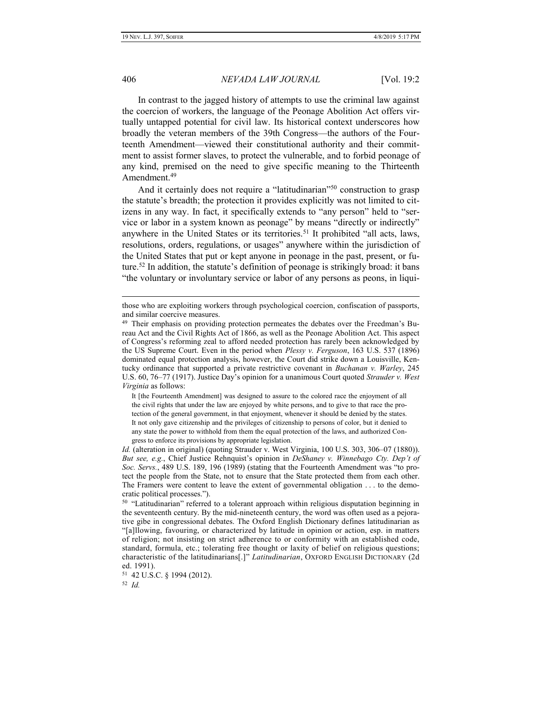406 *NEVADA LAW JOURNAL* [Vol. 19:2

In contrast to the jagged history of attempts to use the criminal law against the coercion of workers, the language of the Peonage Abolition Act offers virtually untapped potential for civil law. Its historical context underscores how broadly the veteran members of the 39th Congress—the authors of the Fourteenth Amendment—viewed their constitutional authority and their commitment to assist former slaves, to protect the vulnerable, and to forbid peonage of any kind, premised on the need to give specific meaning to the Thirteenth Amendment.<sup>49</sup>

And it certainly does not require a "latitudinarian"<sup>50</sup> construction to grasp the statute's breadth; the protection it provides explicitly was not limited to citizens in any way. In fact, it specifically extends to "any person" held to "service or labor in a system known as peonage" by means "directly or indirectly" anywhere in the United States or its territories.<sup>51</sup> It prohibited "all acts, laws, resolutions, orders, regulations, or usages" anywhere within the jurisdiction of the United States that put or kept anyone in peonage in the past, present, or future.<sup>52</sup> In addition, the statute's definition of peonage is strikingly broad: it bans "the voluntary or involuntary service or labor of any persons as peons, in liqui-

It [the Fourteenth Amendment] was designed to assure to the colored race the enjoyment of all the civil rights that under the law are enjoyed by white persons, and to give to that race the protection of the general government, in that enjoyment, whenever it should be denied by the states. It not only gave citizenship and the privileges of citizenship to persons of color, but it denied to any state the power to withhold from them the equal protection of the laws, and authorized Congress to enforce its provisions by appropriate legislation.

those who are exploiting workers through psychological coercion, confiscation of passports, and similar coercive measures.

<sup>&</sup>lt;sup>49</sup> Their emphasis on providing protection permeates the debates over the Freedman's Bureau Act and the Civil Rights Act of 1866, as well as the Peonage Abolition Act. This aspect of Congress's reforming zeal to afford needed protection has rarely been acknowledged by the US Supreme Court. Even in the period when *Plessy v. Ferguson*, 163 U.S. 537 (1896) dominated equal protection analysis, however, the Court did strike down a Louisville, Kentucky ordinance that supported a private restrictive covenant in *Buchanan v. Warley*, 245 U.S. 60, 76–77 (1917). Justice Day's opinion for a unanimous Court quoted *Strauder v. West Virginia* as follows:

*Id.* (alteration in original) (quoting Strauder v. West Virginia, 100 U.S. 303, 306–07 (1880)). *But see, e.g.*, Chief Justice Rehnquist's opinion in *DeShaney v. Winnebago Cty. Dep't of Soc. Servs.*, 489 U.S. 189, 196 (1989) (stating that the Fourteenth Amendment was "to protect the people from the State, not to ensure that the State protected them from each other. The Framers were content to leave the extent of governmental obligation . . . to the democratic political processes.").

<sup>&</sup>lt;sup>50</sup> "Latitudinarian" referred to a tolerant approach within religious disputation beginning in the seventeenth century. By the mid-nineteenth century, the word was often used as a pejorative gibe in congressional debates. The Oxford English Dictionary defines latitudinarian as "[a]llowing, favouring, or characterized by latitude in opinion or action, esp. in matters of religion; not insisting on strict adherence to or conformity with an established code, standard, formula, etc.; tolerating free thought or laxity of belief on religious questions; characteristic of the latitudinarians[.]" *Latitudinarian*, OXFORD ENGLISH DICTIONARY (2d ed. 1991).

<sup>51</sup> 42 U.S.C. § 1994 (2012).

<sup>52</sup> *Id.*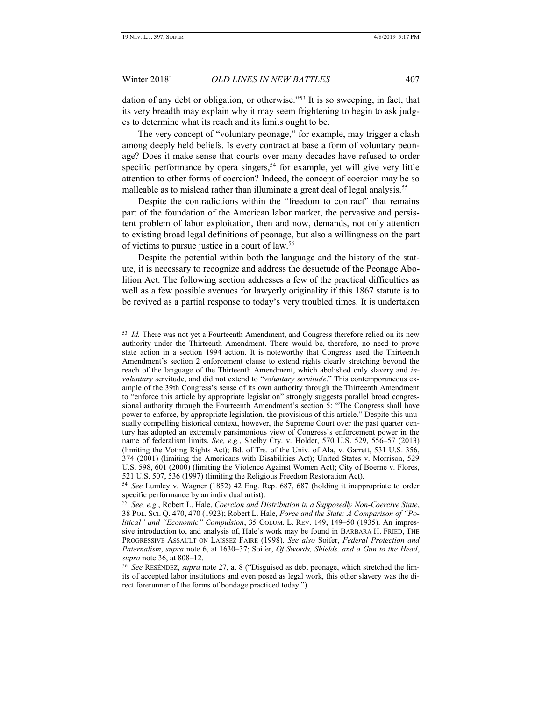Winter 2018] *OLD LINES IN NEW BATTLES* 407

dation of any debt or obligation, or otherwise."<sup>53</sup> It is so sweeping, in fact, that its very breadth may explain why it may seem frightening to begin to ask judges to determine what its reach and its limits ought to be.

The very concept of "voluntary peonage," for example, may trigger a clash among deeply held beliefs. Is every contract at base a form of voluntary peonage? Does it make sense that courts over many decades have refused to order specific performance by opera singers,<sup>54</sup> for example, yet will give very little attention to other forms of coercion? Indeed, the concept of coercion may be so malleable as to mislead rather than illuminate a great deal of legal analysis.<sup>55</sup>

Despite the contradictions within the "freedom to contract" that remains part of the foundation of the American labor market, the pervasive and persistent problem of labor exploitation, then and now, demands, not only attention to existing broad legal definitions of peonage, but also a willingness on the part of victims to pursue justice in a court of law.<sup>56</sup>

Despite the potential within both the language and the history of the statute, it is necessary to recognize and address the desuetude of the Peonage Abolition Act. The following section addresses a few of the practical difficulties as well as a few possible avenues for lawyerly originality if this 1867 statute is to be revived as a partial response to today's very troubled times. It is undertaken

<sup>53</sup> *Id.* There was not yet a Fourteenth Amendment, and Congress therefore relied on its new authority under the Thirteenth Amendment. There would be, therefore, no need to prove state action in a section 1994 action. It is noteworthy that Congress used the Thirteenth Amendment's section 2 enforcement clause to extend rights clearly stretching beyond the reach of the language of the Thirteenth Amendment, which abolished only slavery and *involuntary* servitude, and did not extend to "*voluntary servitude*." This contemporaneous example of the 39th Congress's sense of its own authority through the Thirteenth Amendment to "enforce this article by appropriate legislation" strongly suggests parallel broad congressional authority through the Fourteenth Amendment's section 5: "The Congress shall have power to enforce, by appropriate legislation, the provisions of this article." Despite this unusually compelling historical context, however, the Supreme Court over the past quarter century has adopted an extremely parsimonious view of Congress's enforcement power in the name of federalism limits. *See, e.g.*, Shelby Cty. v. Holder, 570 U.S. 529, 556–57 (2013) (limiting the Voting Rights Act); Bd. of Trs. of the Univ. of Ala, v. Garrett, 531 U.S. 356, 374 (2001) (limiting the Americans with Disabilities Act); United States v. Morrison, 529 U.S. 598, 601 (2000) (limiting the Violence Against Women Act); City of Boerne v. Flores, 521 U.S. 507, 536 (1997) (limiting the Religious Freedom Restoration Act).

<sup>54</sup> *See* Lumley v. Wagner (1852) 42 Eng. Rep. 687, 687 (holding it inappropriate to order specific performance by an individual artist).

<sup>55</sup> *See, e.g.*, Robert L. Hale, *Coercion and Distribution in a Supposedly Non-Coercive State*, 38 POL. SCI. Q. 470, 470 (1923); Robert L. Hale, *Force and the State: A Comparison of "Political" and "Economic" Compulsion*, 35 COLUM. L. REV. 149, 149–50 (1935). An impressive introduction to, and analysis of, Hale's work may be found in BARBARA H. FRIED, THE PROGRESSIVE ASSAULT ON LAISSEZ FAIRE (1998). *See also* Soifer, *Federal Protection and Paternalism*, *supra* note [6,](#page-2-0) at 1630–37; Soifer, *Of Swords, Shields, and a Gun to the Head*, *supra* note 36, at 808–12.

<sup>56</sup> *See* RESÉNDEZ, *supra* note [27](#page-5-0), at 8 ("Disguised as debt peonage, which stretched the limits of accepted labor institutions and even posed as legal work, this other slavery was the direct forerunner of the forms of bondage practiced today.").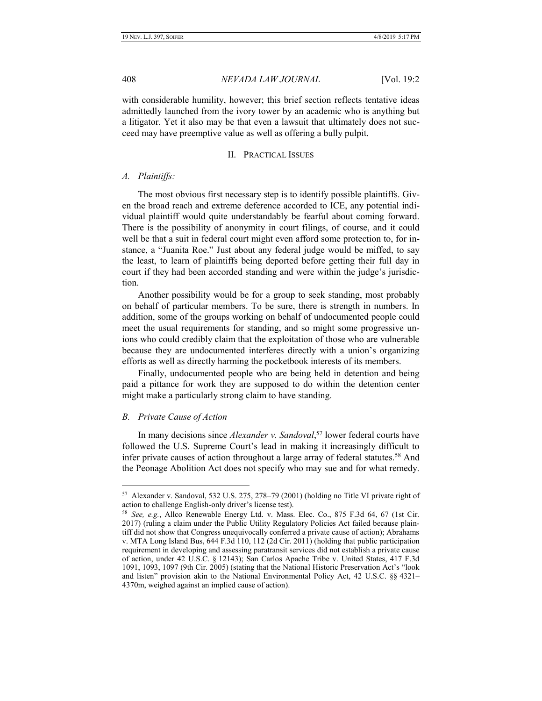with considerable humility, however; this brief section reflects tentative ideas admittedly launched from the ivory tower by an academic who is anything but a litigator. Yet it also may be that even a lawsuit that ultimately does not succeed may have preemptive value as well as offering a bully pulpit.

#### II. PRACTICAL ISSUES

#### *A. Plaintiffs:*

The most obvious first necessary step is to identify possible plaintiffs. Given the broad reach and extreme deference accorded to ICE, any potential individual plaintiff would quite understandably be fearful about coming forward. There is the possibility of anonymity in court filings, of course, and it could well be that a suit in federal court might even afford some protection to, for instance, a "Juanita Roe." Just about any federal judge would be miffed, to say the least, to learn of plaintiffs being deported before getting their full day in court if they had been accorded standing and were within the judge's jurisdiction.

Another possibility would be for a group to seek standing, most probably on behalf of particular members. To be sure, there is strength in numbers. In addition, some of the groups working on behalf of undocumented people could meet the usual requirements for standing, and so might some progressive unions who could credibly claim that the exploitation of those who are vulnerable because they are undocumented interferes directly with a union's organizing efforts as well as directly harming the pocketbook interests of its members.

Finally, undocumented people who are being held in detention and being paid a pittance for work they are supposed to do within the detention center might make a particularly strong claim to have standing.

#### *B. Private Cause of Action*

 $\overline{a}$ 

In many decisions since *Alexander v. Sandoval*, <sup>57</sup> lower federal courts have followed the U.S. Supreme Court's lead in making it increasingly difficult to infer private causes of action throughout a large array of federal statutes.<sup>58</sup> And the Peonage Abolition Act does not specify who may sue and for what remedy.

<sup>57</sup> Alexander v. Sandoval, 532 U.S. 275, 278–79 (2001) (holding no Title VI private right of action to challenge English-only driver's license test).

<sup>58</sup> *See, e.g.*, Allco Renewable Energy Ltd. v. Mass. Elec. Co., 875 F.3d 64, 67 (1st Cir. 2017) (ruling a claim under the Public Utility Regulatory Policies Act failed because plaintiff did not show that Congress unequivocally conferred a private cause of action); Abrahams v. MTA Long Island Bus, 644 F.3d 110, 112 (2d Cir. 2011) (holding that public participation requirement in developing and assessing paratransit services did not establish a private cause of action, under 42 U.S.C. § 12143); San Carlos Apache Tribe v. United States, 417 F.3d 1091, 1093, 1097 (9th Cir. 2005) (stating that the National Historic Preservation Act's "look and listen" provision akin to the National Environmental Policy Act, 42 U.S.C. §§ 4321– 4370m, weighed against an implied cause of action).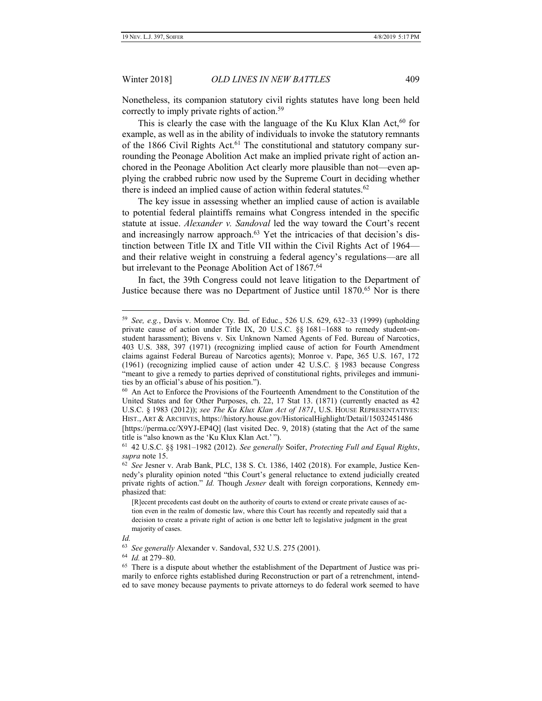Nonetheless, its companion statutory civil rights statutes have long been held correctly to imply private rights of action.<sup>59</sup>

This is clearly the case with the language of the Ku Klux Klan Act,  $60$  for example, as well as in the ability of individuals to invoke the statutory remnants of the 1866 Civil Rights Act.<sup>61</sup> The constitutional and statutory company surrounding the Peonage Abolition Act make an implied private right of action anchored in the Peonage Abolition Act clearly more plausible than not—even applying the crabbed rubric now used by the Supreme Court in deciding whether there is indeed an implied cause of action within federal statutes.<sup>62</sup>

The key issue in assessing whether an implied cause of action is available to potential federal plaintiffs remains what Congress intended in the specific statute at issue. *Alexander v. Sandoval* led the way toward the Court's recent and increasingly narrow approach.<sup>63</sup> Yet the intricacies of that decision's distinction between Title IX and Title VII within the Civil Rights Act of 1964 and their relative weight in construing a federal agency's regulations—are all but irrelevant to the Peonage Abolition Act of 1867.<sup>64</sup>

In fact, the 39th Congress could not leave litigation to the Department of Justice because there was no Department of Justice until 1870.<sup>65</sup> Nor is there

*Id.*

 $\overline{a}$ 

64 *Id.* at 279–80.

<span id="page-12-0"></span>

<sup>59</sup> *See, e.g.*, Davis v. Monroe Cty. Bd. of Educ., 526 U.S. 629, 632–33 (1999) (upholding private cause of action under Title IX, 20 U.S.C. §§ 1681–1688 to remedy student-onstudent harassment); Bivens v. Six Unknown Named Agents of Fed. Bureau of Narcotics, 403 U.S. 388, 397 (1971) (recognizing implied cause of action for Fourth Amendment claims against Federal Bureau of Narcotics agents); Monroe v. Pape, 365 U.S. 167, 172 (1961) (recognizing implied cause of action under 42 U.S.C. § 1983 because Congress "meant to give a remedy to parties deprived of constitutional rights, privileges and immunities by an official's abuse of his position.").

<sup>60</sup> An Act to Enforce the Provisions of the Fourteenth Amendment to the Constitution of the United States and for Other Purposes, ch. 22, 17 Stat 13. (1871) (currently enacted as 42 U.S.C. § 1983 (2012)); *see The Ku Klux Klan Act of 1871*, U.S. HOUSE REPRESENTATIVES: HIST., ART & ARCHIVES, https://history.house.gov/HistoricalHighlight/Detail/15032451486 [https://perma.cc/X9YJ-EP4Q] (last visited Dec. 9, 2018) (stating that the Act of the same title is "also known as the 'Ku Klux Klan Act.' ").

<sup>61</sup> 42 U.S.C. §§ 1981–1982 (2012). *See generally* Soifer, *Protecting Full and Equal Rights*, *supra* not[e 15.](#page-3-0)

<sup>62</sup> *See* Jesner v. Arab Bank, PLC, 138 S. Ct. 1386, 1402 (2018). For example, Justice Kennedy's plurality opinion noted "this Court's general reluctance to extend judicially created private rights of action." *Id.* Though *Jesner* dealt with foreign corporations, Kennedy emphasized that:

<sup>[</sup>R]ecent precedents cast doubt on the authority of courts to extend or create private causes of action even in the realm of domestic law, where this Court has recently and repeatedly said that a decision to create a private right of action is one better left to legislative judgment in the great majority of cases.

<sup>63</sup> *See generally* Alexander v. Sandoval, 532 U.S. 275 (2001).

<sup>&</sup>lt;sup>65</sup> There is a dispute about whether the establishment of the Department of Justice was primarily to enforce rights established during Reconstruction or part of a retrenchment, intended to save money because payments to private attorneys to do federal work seemed to have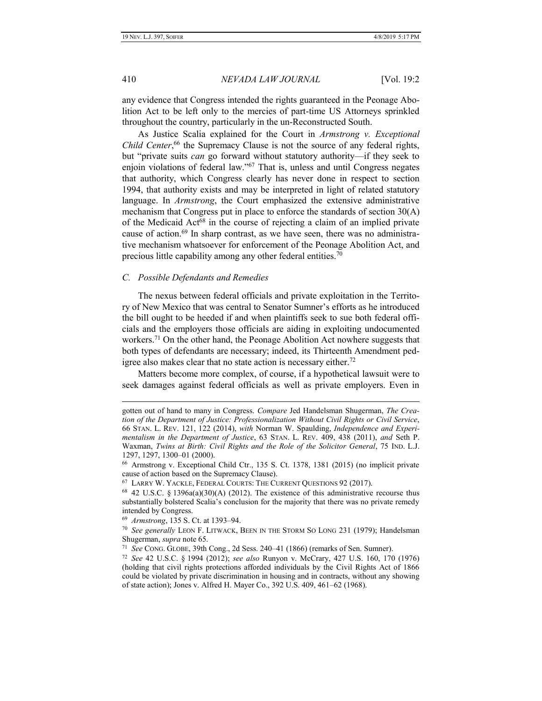410 *NEVADA LAW JOURNAL* [Vol. 19:2

any evidence that Congress intended the rights guaranteed in the Peonage Abolition Act to be left only to the mercies of part-time US Attorneys sprinkled throughout the country, particularly in the un-Reconstructed South.

As Justice Scalia explained for the Court in *Armstrong v. Exceptional*  Child Center,<sup>66</sup> the Supremacy Clause is not the source of any federal rights, but "private suits *can* go forward without statutory authority—if they seek to enjoin violations of federal law."<sup>67</sup> That is, unless and until Congress negates that authority, which Congress clearly has never done in respect to section 1994, that authority exists and may be interpreted in light of related statutory language. In *Armstrong*, the Court emphasized the extensive administrative mechanism that Congress put in place to enforce the standards of section 30(A) of the Medicaid Act<sup>68</sup> in the course of rejecting a claim of an implied private cause of action.<sup>69</sup> In sharp contrast, as we have seen, there was no administrative mechanism whatsoever for enforcement of the Peonage Abolition Act, and precious little capability among any other federal entities.<sup>70</sup>

#### *C. Possible Defendants and Remedies*

The nexus between federal officials and private exploitation in the Territory of New Mexico that was central to Senator Sumner's efforts as he introduced the bill ought to be heeded if and when plaintiffs seek to sue both federal officials and the employers those officials are aiding in exploiting undocumented workers.<sup>71</sup> On the other hand, the Peonage Abolition Act nowhere suggests that both types of defendants are necessary; indeed, its Thirteenth Amendment pedigree also makes clear that no state action is necessary either.<sup>72</sup>

Matters become more complex, of course, if a hypothetical lawsuit were to seek damages against federal officials as well as private employers. Even in

gotten out of hand to many in Congress. *Compare* Jed Handelsman Shugerman, *The Creation of the Department of Justice: Professionalization Without Civil Rights or Civil Service*, 66 STAN. L. REV. 121, 122 (2014), *with* Norman W. Spaulding, *Independence and Experimentalism in the Department of Justice*, 63 STAN. L. REV. 409, 438 (2011), *and* Seth P. Waxman, *Twins at Birth: Civil Rights and the Role of the Solicitor General*, 75 IND. L.J. 1297, 1297, 1300–01 (2000).

<sup>66</sup> Armstrong v. Exceptional Child Ctr., 135 S. Ct. 1378, 1381 (2015) (no implicit private cause of action based on the Supremacy Clause).

<sup>67</sup> LARRY W. YACKLE, FEDERAL COURTS: THE CURRENT QUESTIONS 92 (2017).

 $68$  42 U.S.C. § 1396a(a)(30)(A) (2012). The existence of this administrative recourse thus substantially bolstered Scalia's conclusion for the majority that there was no private remedy intended by Congress.

<sup>69</sup> *Armstrong*, 135 S. Ct. at 1393–94.

<sup>70</sup> *See generally* LEON F. LITWACK, BEEN IN THE STORM SO LONG 231 (1979); Handelsman Shugerman, *supra* note [65.](#page-12-0)

<sup>71</sup> *See* CONG. GLOBE, 39th Cong., 2d Sess. 240–41 (1866) (remarks of Sen. Sumner).

<sup>72</sup> *See* 42 U.S.C. § 1994 (2012); *see also* Runyon v. McCrary, 427 U.S. 160, 170 (1976) (holding that civil rights protections afforded individuals by the Civil Rights Act of 1866 could be violated by private discrimination in housing and in contracts, without any showing of state action); Jones v. Alfred H. Mayer Co., 392 U.S. 409, 461–62 (1968).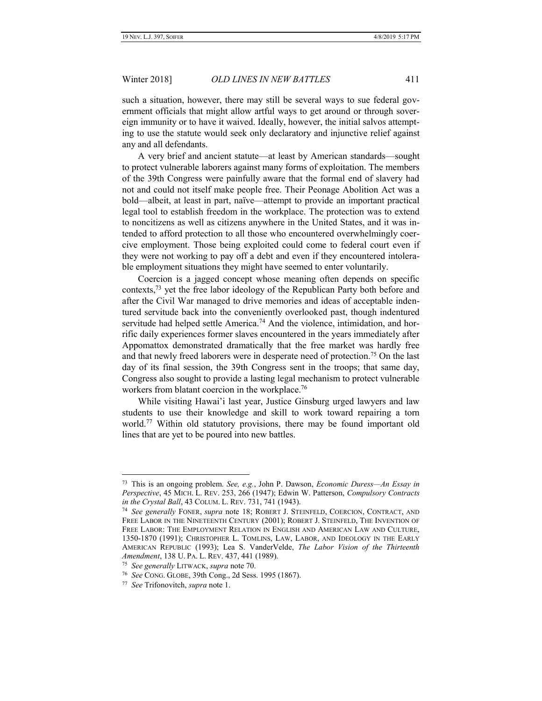such a situation, however, there may still be several ways to sue federal government officials that might allow artful ways to get around or through sovereign immunity or to have it waived. Ideally, however, the initial salvos attempting to use the statute would seek only declaratory and injunctive relief against any and all defendants.

A very brief and ancient statute—at least by American standards—sought to protect vulnerable laborers against many forms of exploitation. The members of the 39th Congress were painfully aware that the formal end of slavery had not and could not itself make people free. Their Peonage Abolition Act was a bold—albeit, at least in part, naïve—attempt to provide an important practical legal tool to establish freedom in the workplace. The protection was to extend to noncitizens as well as citizens anywhere in the United States, and it was intended to afford protection to all those who encountered overwhelmingly coercive employment. Those being exploited could come to federal court even if they were not working to pay off a debt and even if they encountered intolerable employment situations they might have seemed to enter voluntarily.

Coercion is a jagged concept whose meaning often depends on specific contexts,<sup>73</sup> yet the free labor ideology of the Republican Party both before and after the Civil War managed to drive memories and ideas of acceptable indentured servitude back into the conveniently overlooked past, though indentured servitude had helped settle America.<sup>74</sup> And the violence, intimidation, and horrific daily experiences former slaves encountered in the years immediately after Appomattox demonstrated dramatically that the free market was hardly free and that newly freed laborers were in desperate need of protection.<sup>75</sup> On the last day of its final session, the 39th Congress sent in the troops; that same day, Congress also sought to provide a lasting legal mechanism to protect vulnerable workers from blatant coercion in the workplace.<sup>76</sup>

While visiting Hawai'i last year, Justice Ginsburg urged lawyers and law students to use their knowledge and skill to work toward repairing a torn world.<sup>77</sup> Within old statutory provisions, there may be found important old lines that are yet to be poured into new battles.

<sup>73</sup> This is an ongoing problem. *See, e.g.*, John P. Dawson, *Economic Duress—An Essay in Perspective*, 45 MICH. L. REV. 253, 266 (1947); Edwin W. Patterson, *Compulsory Contracts in the Crystal Ball*, 43 COLUM. L. REV. 731, 741 (1943).

<sup>74</sup> *See generally* FONER, *supra* note 18; ROBERT J. STEINFELD, COERCION, CONTRACT, AND FREE LABOR IN THE NINETEENTH CENTURY (2001); ROBERT J. STEINFELD, THE INVENTION OF FREE LABOR: THE EMPLOYMENT RELATION IN ENGLISH AND AMERICAN LAW AND CULTURE, 1350-1870 (1991); CHRISTOPHER L. TOMLINS, LAW, LABOR, AND IDEOLOGY IN THE EARLY AMERICAN REPUBLIC (1993); Lea S. VanderVelde, *The Labor Vision of the Thirteenth Amendment*, 138 U. PA. L. REV. 437, 441 (1989).

<sup>75</sup> *See generally* LITWACK, *supra* note 70.

<sup>76</sup> *See* CONG. GLOBE, 39th Cong., 2d Sess. 1995 (1867).

<sup>77</sup> *See* Trifonovitch, *supra* note 1.